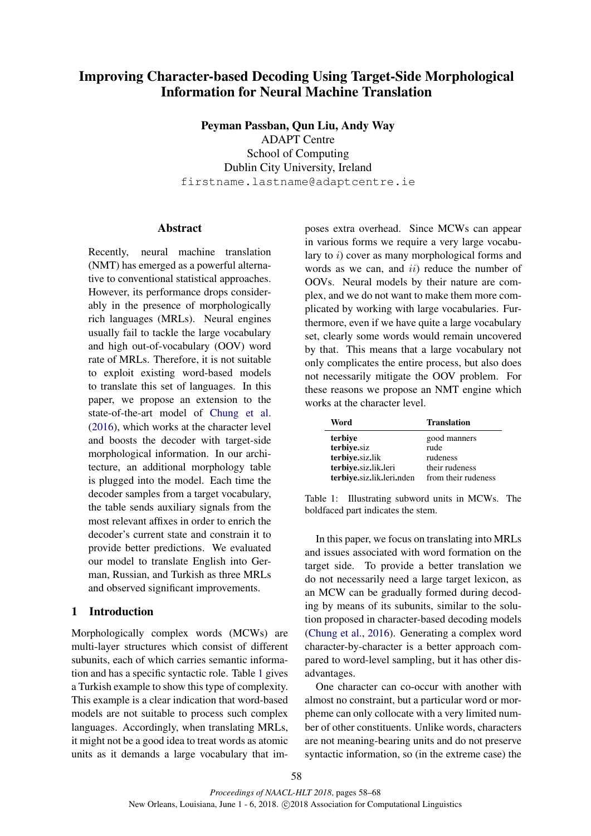# Improving Character-based Decoding Using Target-Side Morphological Information for Neural Machine Translation

Peyman Passban, Qun Liu, Andy Way ADAPT Centre School of Computing Dublin City University, Ireland firstname.lastname@adaptcentre.ie

# Abstract

Recently, neural machine translation (NMT) has emerged as a powerful alternative to conventional statistical approaches. However, its performance drops considerably in the presence of morphologically rich languages (MRLs). Neural engines usually fail to tackle the large vocabulary and high out-of-vocabulary (OOV) word rate of MRLs. Therefore, it is not suitable to exploit existing word-based models to translate this set of languages. In this paper, we propose an extension to the state-of-the-art model of Chung et al. (2016), which works at the character level and boosts the decoder with target-side morphological information. In our architecture, an additional morphology table is plugged into the model. Each time the decoder samples from a target vocabulary, the table sends auxiliary signals from the most relevant affixes in order to enrich the decoder's current state and constrain it to provide better predictions. We evaluated our model to translate English into German, Russian, and Turkish as three MRLs and observed significant improvements.

# 1 Introduction

Morphologically complex words (MCWs) are multi-layer structures which consist of different subunits, each of which carries semantic information and has a specific syntactic role. Table 1 gives a Turkish example to show this type of complexity. This example is a clear indication that word-based models are not suitable to process such complex languages. Accordingly, when translating MRLs, it might not be a good idea to treat words as atomic units as it demands a large vocabulary that imposes extra overhead. Since MCWs can appear in various forms we require a very large vocabulary to i) cover as many morphological forms and words as we can, and  $ii)$  reduce the number of OOVs. Neural models by their nature are complex, and we do not want to make them more complicated by working with large vocabularies. Furthermore, even if we have quite a large vocabulary set, clearly some words would remain uncovered by that. This means that a large vocabulary not only complicates the entire process, but also does not necessarily mitigate the OOV problem. For these reasons we propose an NMT engine which works at the character level.

| Word                      | <b>Translation</b>  |
|---------------------------|---------------------|
| terbiye                   | good manners        |
| terbiye.siz               | rude                |
| terbiye.siz.lik           | rudeness            |
| terbiye.siz.lik.leri      | their rudeness      |
| terbiye.siz.lik.leri.nden | from their rudeness |

Table 1: Illustrating subword units in MCWs. The boldfaced part indicates the stem.

In this paper, we focus on translating into MRLs and issues associated with word formation on the target side. To provide a better translation we do not necessarily need a large target lexicon, as an MCW can be gradually formed during decoding by means of its subunits, similar to the solution proposed in character-based decoding models (Chung et al., 2016). Generating a complex word character-by-character is a better approach compared to word-level sampling, but it has other disadvantages.

One character can co-occur with another with almost no constraint, but a particular word or morpheme can only collocate with a very limited number of other constituents. Unlike words, characters are not meaning-bearing units and do not preserve syntactic information, so (in the extreme case) the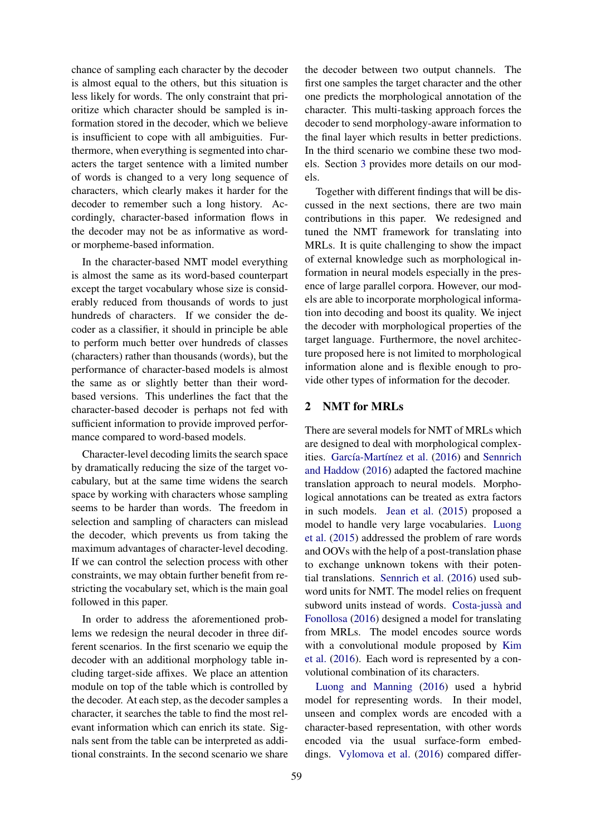chance of sampling each character by the decoder is almost equal to the others, but this situation is less likely for words. The only constraint that prioritize which character should be sampled is information stored in the decoder, which we believe is insufficient to cope with all ambiguities. Furthermore, when everything is segmented into characters the target sentence with a limited number of words is changed to a very long sequence of characters, which clearly makes it harder for the decoder to remember such a long history. Accordingly, character-based information flows in the decoder may not be as informative as wordor morpheme-based information.

In the character-based NMT model everything is almost the same as its word-based counterpart except the target vocabulary whose size is considerably reduced from thousands of words to just hundreds of characters. If we consider the decoder as a classifier, it should in principle be able to perform much better over hundreds of classes (characters) rather than thousands (words), but the performance of character-based models is almost the same as or slightly better than their wordbased versions. This underlines the fact that the character-based decoder is perhaps not fed with sufficient information to provide improved performance compared to word-based models.

Character-level decoding limits the search space by dramatically reducing the size of the target vocabulary, but at the same time widens the search space by working with characters whose sampling seems to be harder than words. The freedom in selection and sampling of characters can mislead the decoder, which prevents us from taking the maximum advantages of character-level decoding. If we can control the selection process with other constraints, we may obtain further benefit from restricting the vocabulary set, which is the main goal followed in this paper.

In order to address the aforementioned problems we redesign the neural decoder in three different scenarios. In the first scenario we equip the decoder with an additional morphology table including target-side affixes. We place an attention module on top of the table which is controlled by the decoder. At each step, as the decoder samples a character, it searches the table to find the most relevant information which can enrich its state. Signals sent from the table can be interpreted as additional constraints. In the second scenario we share

the decoder between two output channels. The first one samples the target character and the other one predicts the morphological annotation of the character. This multi-tasking approach forces the decoder to send morphology-aware information to the final layer which results in better predictions. In the third scenario we combine these two models. Section 3 provides more details on our models.

Together with different findings that will be discussed in the next sections, there are two main contributions in this paper. We redesigned and tuned the NMT framework for translating into MRLs. It is quite challenging to show the impact of external knowledge such as morphological information in neural models especially in the presence of large parallel corpora. However, our models are able to incorporate morphological information into decoding and boost its quality. We inject the decoder with morphological properties of the target language. Furthermore, the novel architecture proposed here is not limited to morphological information alone and is flexible enough to provide other types of information for the decoder.

# 2 NMT for MRLs

There are several models for NMT of MRLs which are designed to deal with morphological complexities. García-Martínez et al. (2016) and Sennrich and Haddow (2016) adapted the factored machine translation approach to neural models. Morphological annotations can be treated as extra factors in such models. Jean et al. (2015) proposed a model to handle very large vocabularies. Luong et al. (2015) addressed the problem of rare words and OOVs with the help of a post-translation phase to exchange unknown tokens with their potential translations. Sennrich et al. (2016) used subword units for NMT. The model relies on frequent subword units instead of words. Costa-jussà and Fonollosa (2016) designed a model for translating from MRLs. The model encodes source words with a convolutional module proposed by Kim et al. (2016). Each word is represented by a convolutional combination of its characters.

Luong and Manning (2016) used a hybrid model for representing words. In their model, unseen and complex words are encoded with a character-based representation, with other words encoded via the usual surface-form embeddings. Vylomova et al. (2016) compared differ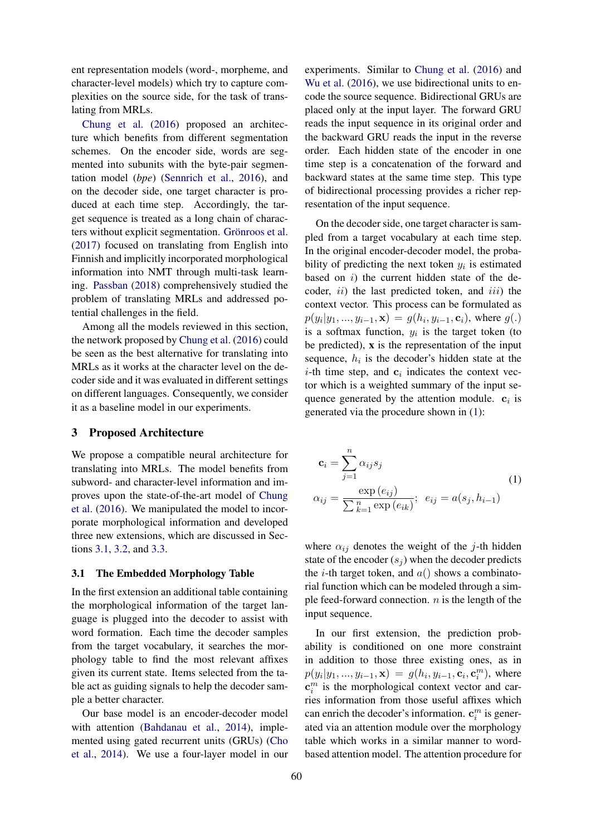ent representation models (word-, morpheme, and character-level models) which try to capture complexities on the source side, for the task of translating from MRLs.

Chung et al. (2016) proposed an architecture which benefits from different segmentation schemes. On the encoder side, words are segmented into subunits with the byte-pair segmentation model (*bpe*) (Sennrich et al., 2016), and on the decoder side, one target character is produced at each time step. Accordingly, the target sequence is treated as a long chain of characters without explicit segmentation. Grönroos et al. (2017) focused on translating from English into Finnish and implicitly incorporated morphological information into NMT through multi-task learning. Passban (2018) comprehensively studied the problem of translating MRLs and addressed potential challenges in the field.

Among all the models reviewed in this section, the network proposed by Chung et al. (2016) could be seen as the best alternative for translating into MRLs as it works at the character level on the decoder side and it was evaluated in different settings on different languages. Consequently, we consider it as a baseline model in our experiments.

# 3 Proposed Architecture

We propose a compatible neural architecture for translating into MRLs. The model benefits from subword- and character-level information and improves upon the state-of-the-art model of Chung et al. (2016). We manipulated the model to incorporate morphological information and developed three new extensions, which are discussed in Sections 3.1, 3.2, and 3.3.

#### 3.1 The Embedded Morphology Table

In the first extension an additional table containing the morphological information of the target language is plugged into the decoder to assist with word formation. Each time the decoder samples from the target vocabulary, it searches the morphology table to find the most relevant affixes given its current state. Items selected from the table act as guiding signals to help the decoder sample a better character.

Our base model is an encoder-decoder model with attention (Bahdanau et al., 2014), implemented using gated recurrent units (GRUs) (Cho et al., 2014). We use a four-layer model in our

experiments. Similar to Chung et al. (2016) and Wu et al. (2016), we use bidirectional units to encode the source sequence. Bidirectional GRUs are placed only at the input layer. The forward GRU reads the input sequence in its original order and the backward GRU reads the input in the reverse order. Each hidden state of the encoder in one time step is a concatenation of the forward and backward states at the same time step. This type of bidirectional processing provides a richer representation of the input sequence.

On the decoder side, one target character is sampled from a target vocabulary at each time step. In the original encoder-decoder model, the probability of predicting the next token  $y_i$  is estimated based on  $i$ ) the current hidden state of the decoder,  $ii)$  the last predicted token, and  $iii)$  the context vector. This process can be formulated as  $p(y_i|y_1, ..., y_{i-1}, \mathbf{x}) = g(h_i, y_{i-1}, \mathbf{c}_i)$ , where  $g(.)$ is a softmax function,  $y_i$  is the target token (to be predicted), x is the representation of the input sequence,  $h_i$  is the decoder's hidden state at the *i*-th time step, and  $c_i$  indicates the context vector which is a weighted summary of the input sequence generated by the attention module.  $c_i$  is generated via the procedure shown in (1):

$$
\mathbf{c}_{i} = \sum_{j=1}^{n} \alpha_{ij} s_{j}
$$
\n
$$
\alpha_{ij} = \frac{\exp(e_{ij})}{\sum_{k=1}^{n} \exp(e_{ik})}; \ e_{ij} = a(s_{j}, h_{i-1})
$$
\n(1)

where  $\alpha_{ij}$  denotes the weight of the j-th hidden state of the encoder  $(s_i)$  when the decoder predicts the *i*-th target token, and  $a()$  shows a combinatorial function which can be modeled through a simple feed-forward connection.  $n$  is the length of the input sequence.

In our first extension, the prediction probability is conditioned on one more constraint in addition to those three existing ones, as in  $p(y_i|y_1, ..., y_{i-1}, \mathbf{x}) = g(h_i, y_{i-1}, \mathbf{c}_i, \mathbf{c}_i^m)$ , where  $\mathbf{c}_i^m$  is the morphological context vector and carries information from those useful affixes which can enrich the decoder's information.  $\mathbf{c}_i^m$  is generated via an attention module over the morphology table which works in a similar manner to wordbased attention model. The attention procedure for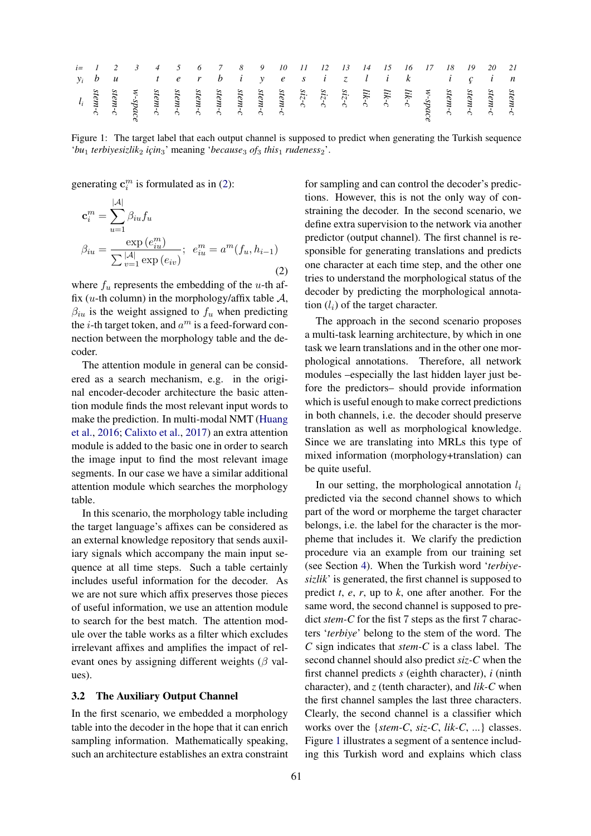|  |  |  |  |  |  |  |  |  |  | <i>i</i> = 1 2 3 4 5 6 7 8 9 10 11 12 13 14 15 16 17 18 19 20 21                                                                                                                                                                                                                             |  |
|--|--|--|--|--|--|--|--|--|--|----------------------------------------------------------------------------------------------------------------------------------------------------------------------------------------------------------------------------------------------------------------------------------------------|--|
|  |  |  |  |  |  |  |  |  |  | y <sub>i</sub> bu terbiyesi zlik için                                                                                                                                                                                                                                                        |  |
|  |  |  |  |  |  |  |  |  |  | stem-c<br>stem-c<br>stem-c<br>stem-c<br>stem-c<br>stem-c<br>stem-c<br>stem-c<br>stem-c<br>stem-c<br>stem-c<br>stem-c<br>stem-c<br>stem-c<br>stem-c<br>stem-c<br>stem-c<br>stem-c<br>stem-c<br>stem-c<br>stem-c<br>stem-c<br>stem-c<br>stem-c<br>stem-c<br>$\frac{1}{2}$<br>$\frac{1}{2}$<br> |  |

Figure 1: The target label that each output channel is supposed to predict when generating the Turkish sequence '*bu*<sub>1</sub> *terbiyesizlik*<sub>2</sub> *için*<sub>3</sub>' meaning '*because*<sub>3</sub> *of*<sub>3</sub> *this*<sub>1</sub> *rudeness*<sub>2</sub>'.

generating  $\mathbf{c}_i^m$  is formulated as in (2):

$$
\mathbf{c}_{i}^{m} = \sum_{u=1}^{|\mathcal{A}|} \beta_{iu} f_{u}
$$

$$
\beta_{iu} = \frac{\exp(e_{iu}^{m})}{\sum_{v=1}^{|\mathcal{A}|} \exp(e_{iv})}; e_{iu}^{m} = a^{m}(f_{u}, h_{i-1})
$$
(2)

where  $f_u$  represents the embedding of the u-th affix (*u*-th column) in the morphology/affix table  $A$ ,  $\beta_{iu}$  is the weight assigned to  $f_u$  when predicting the *i*-th target token, and  $a^m$  is a feed-forward connection between the morphology table and the decoder.

The attention module in general can be considered as a search mechanism, e.g. in the original encoder-decoder architecture the basic attention module finds the most relevant input words to make the prediction. In multi-modal NMT (Huang et al., 2016; Calixto et al., 2017) an extra attention module is added to the basic one in order to search the image input to find the most relevant image segments. In our case we have a similar additional attention module which searches the morphology table.

In this scenario, the morphology table including the target language's affixes can be considered as an external knowledge repository that sends auxiliary signals which accompany the main input sequence at all time steps. Such a table certainly includes useful information for the decoder. As we are not sure which affix preserves those pieces of useful information, we use an attention module to search for the best match. The attention module over the table works as a filter which excludes irrelevant affixes and amplifies the impact of relevant ones by assigning different weights ( $\beta$  values).

### 3.2 The Auxiliary Output Channel

In the first scenario, we embedded a morphology table into the decoder in the hope that it can enrich sampling information. Mathematically speaking, such an architecture establishes an extra constraint

for sampling and can control the decoder's predictions. However, this is not the only way of constraining the decoder. In the second scenario, we define extra supervision to the network via another predictor (output channel). The first channel is responsible for generating translations and predicts one character at each time step, and the other one tries to understand the morphological status of the decoder by predicting the morphological annotation  $(l_i)$  of the target character.

The approach in the second scenario proposes a multi-task learning architecture, by which in one task we learn translations and in the other one morphological annotations. Therefore, all network modules –especially the last hidden layer just before the predictors– should provide information which is useful enough to make correct predictions in both channels, i.e. the decoder should preserve translation as well as morphological knowledge. Since we are translating into MRLs this type of mixed information (morphology+translation) can be quite useful.

In our setting, the morphological annotation  $l_i$ predicted via the second channel shows to which part of the word or morpheme the target character belongs, i.e. the label for the character is the morpheme that includes it. We clarify the prediction procedure via an example from our training set (see Section 4). When the Turkish word '*terbiyesizlik*' is generated, the first channel is supposed to predict *t*, *e*, *r*, up to *k*, one after another. For the same word, the second channel is supposed to predict *stem-C* for the fist 7 steps as the first 7 characters '*terbiye*' belong to the stem of the word. The *C* sign indicates that *stem-C* is a class label. The second channel should also predict *siz-C* when the first channel predicts *s* (eighth character), *i* (ninth character), and *z* (tenth character), and *lik-C* when the first channel samples the last three characters. Clearly, the second channel is a classifier which works over the {*stem-C*, *siz-C*, *lik-C*, ...} classes. Figure 1 illustrates a segment of a sentence including this Turkish word and explains which class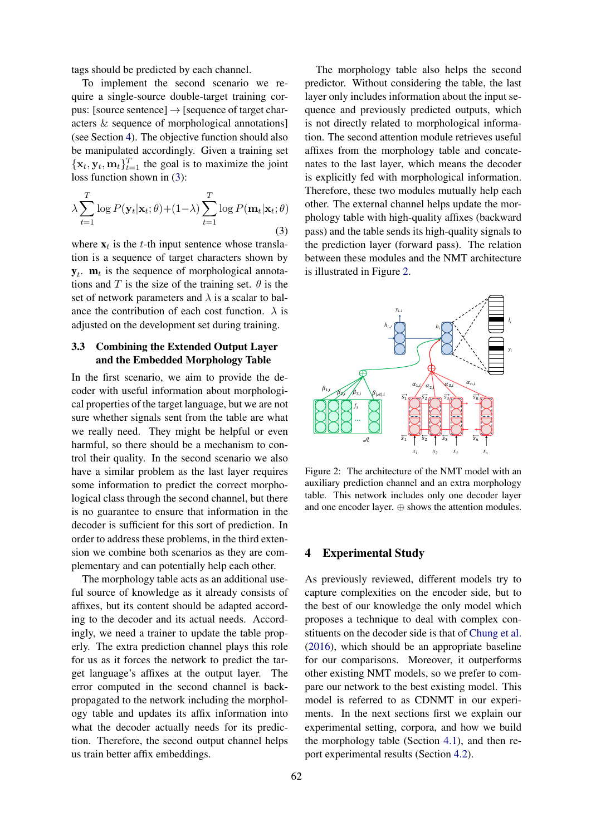tags should be predicted by each channel.

To implement the second scenario we require a single-source double-target training corpus: [source sentence]  $\rightarrow$  [sequence of target characters & sequence of morphological annotations] (see Section 4). The objective function should also be manipulated accordingly. Given a training set  $\{\mathbf x_t, \mathbf y_t, \mathbf m_t\}_{t=1}^T$  the goal is to maximize the joint loss function shown in (3):

$$
\lambda \sum_{t=1}^{T} \log P(\mathbf{y}_t|\mathbf{x}_t; \theta) + (1-\lambda) \sum_{t=1}^{T} \log P(\mathbf{m}_t|\mathbf{x}_t; \theta)
$$
\n(3)

where  $x_t$  is the t-th input sentence whose translation is a sequence of target characters shown by  $y_t$ . **m**<sub>t</sub> is the sequence of morphological annotations and T is the size of the training set.  $\theta$  is the set of network parameters and  $\lambda$  is a scalar to balance the contribution of each cost function.  $\lambda$  is adjusted on the development set during training.

# 3.3 Combining the Extended Output Layer and the Embedded Morphology Table

In the first scenario, we aim to provide the decoder with useful information about morphological properties of the target language, but we are not sure whether signals sent from the table are what we really need. They might be helpful or even harmful, so there should be a mechanism to control their quality. In the second scenario we also have a similar problem as the last layer requires some information to predict the correct morphological class through the second channel, but there is no guarantee to ensure that information in the decoder is sufficient for this sort of prediction. In order to address these problems, in the third extension we combine both scenarios as they are complementary and can potentially help each other.

The morphology table acts as an additional useful source of knowledge as it already consists of affixes, but its content should be adapted according to the decoder and its actual needs. Accordingly, we need a trainer to update the table properly. The extra prediction channel plays this role for us as it forces the network to predict the target language's affixes at the output layer. The error computed in the second channel is backpropagated to the network including the morphology table and updates its affix information into what the decoder actually needs for its prediction. Therefore, the second output channel helps us train better affix embeddings.

The morphology table also helps the second predictor. Without considering the table, the last layer only includes information about the input sequence and previously predicted outputs, which is not directly related to morphological information. The second attention module retrieves useful affixes from the morphology table and concatenates to the last layer, which means the decoder is explicitly fed with morphological information. Therefore, these two modules mutually help each other. The external channel helps update the morphology table with high-quality affixes (backward pass) and the table sends its high-quality signals to the prediction layer (forward pass). The relation between these modules and the NMT architecture is illustrated in Figure 2.



Figure 2: The architecture of the NMT model with an auxiliary prediction channel and an extra morphology table. This network includes only one decoder layer and one encoder layer. ⊕ shows the attention modules.

### 4 Experimental Study

As previously reviewed, different models try to capture complexities on the encoder side, but to the best of our knowledge the only model which proposes a technique to deal with complex constituents on the decoder side is that of Chung et al. (2016), which should be an appropriate baseline for our comparisons. Moreover, it outperforms other existing NMT models, so we prefer to compare our network to the best existing model. This model is referred to as CDNMT in our experiments. In the next sections first we explain our experimental setting, corpora, and how we build the morphology table (Section 4.1), and then report experimental results (Section 4.2).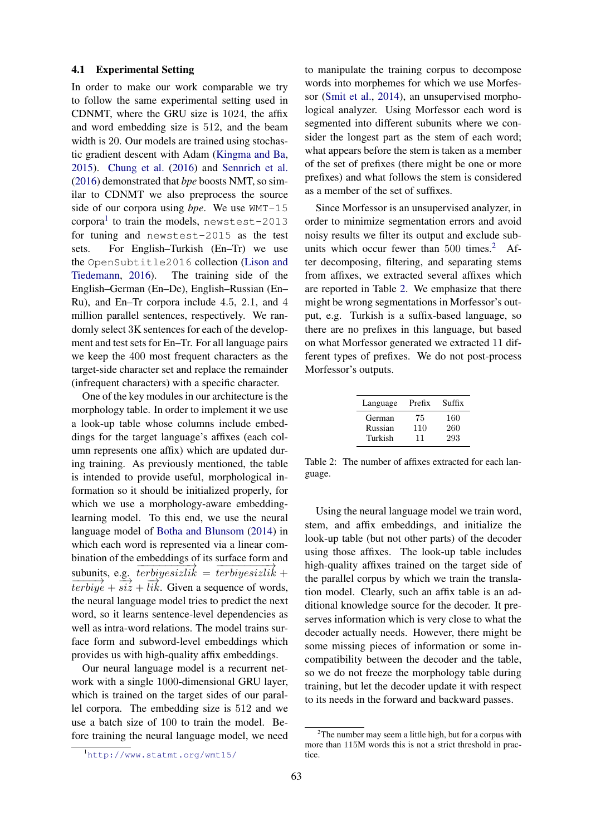### 4.1 Experimental Setting

In order to make our work comparable we try to follow the same experimental setting used in CDNMT, where the GRU size is 1024, the affix and word embedding size is 512, and the beam width is 20. Our models are trained using stochastic gradient descent with Adam (Kingma and Ba, 2015). Chung et al. (2016) and Sennrich et al. (2016) demonstrated that *bpe* boosts NMT, so similar to CDNMT we also preprocess the source side of our corpora using *bpe*. We use WMT-15 corpora<sup>1</sup> to train the models, newstest-2013 for tuning and newstest-2015 as the test sets. For English–Turkish (En–Tr) we use the OpenSubtitle2016 collection (Lison and Tiedemann, 2016). The training side of the English–German (En–De), English–Russian (En– Ru), and En–Tr corpora include 4.5, 2.1, and 4 million parallel sentences, respectively. We randomly select 3K sentences for each of the development and test sets for En–Tr. For all language pairs we keep the 400 most frequent characters as the target-side character set and replace the remainder (infrequent characters) with a specific character.

One of the key modules in our architecture is the morphology table. In order to implement it we use a look-up table whose columns include embeddings for the target language's affixes (each column represents one affix) which are updated during training. As previously mentioned, the table is intended to provide useful, morphological information so it should be initialized properly, for which we use a morphology-aware embeddinglearning model. To this end, we use the neural language model of Botha and Blunsom (2014) in which each word is represented via a linear combination of the embeddings of its surface form and subunits, e.g.  $\overrightarrow{terbiyesizlik} = \overrightarrow{terbiyesizlik} +$  $\overrightarrow{terbiye} + \overrightarrow{six} + \overrightarrow{lik}$ . Given a sequence of words, the neural language model tries to predict the next word, so it learns sentence-level dependencies as well as intra-word relations. The model trains surface form and subword-level embeddings which provides us with high-quality affix embeddings.

Our neural language model is a recurrent network with a single 1000-dimensional GRU layer, which is trained on the target sides of our parallel corpora. The embedding size is 512 and we use a batch size of 100 to train the model. Before training the neural language model, we need to manipulate the training corpus to decompose words into morphemes for which we use Morfessor (Smit et al., 2014), an unsupervised morphological analyzer. Using Morfessor each word is segmented into different subunits where we consider the longest part as the stem of each word; what appears before the stem is taken as a member of the set of prefixes (there might be one or more prefixes) and what follows the stem is considered as a member of the set of suffixes.

Since Morfessor is an unsupervised analyzer, in order to minimize segmentation errors and avoid noisy results we filter its output and exclude subunits which occur fewer than  $500$  times.<sup>2</sup> After decomposing, filtering, and separating stems from affixes, we extracted several affixes which are reported in Table 2. We emphasize that there might be wrong segmentations in Morfessor's output, e.g. Turkish is a suffix-based language, so there are no prefixes in this language, but based on what Morfessor generated we extracted 11 different types of prefixes. We do not post-process Morfessor's outputs.

| Language | Prefix | Suffix |
|----------|--------|--------|
| German   | 75     | 160    |
| Russian  | 110    | 260    |
| Turkish  | 11     | 293    |

Table 2: The number of affixes extracted for each language.

Using the neural language model we train word, stem, and affix embeddings, and initialize the look-up table (but not other parts) of the decoder using those affixes. The look-up table includes high-quality affixes trained on the target side of the parallel corpus by which we train the translation model. Clearly, such an affix table is an additional knowledge source for the decoder. It preserves information which is very close to what the decoder actually needs. However, there might be some missing pieces of information or some incompatibility between the decoder and the table, so we do not freeze the morphology table during training, but let the decoder update it with respect to its needs in the forward and backward passes.

<sup>1</sup>http://www.statmt.org/wmt15/

 $2$ The number may seem a little high, but for a corpus with more than 115M words this is not a strict threshold in practice.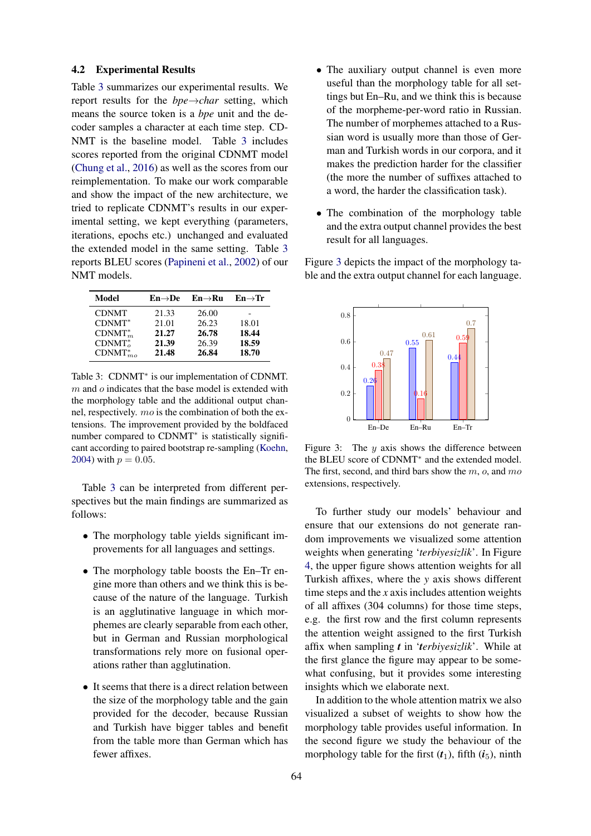### 4.2 Experimental Results

Table 3 summarizes our experimental results. We report results for the *bpe*→*char* setting, which means the source token is a *bpe* unit and the decoder samples a character at each time step. CD-NMT is the baseline model. Table 3 includes scores reported from the original CDNMT model (Chung et al., 2016) as well as the scores from our reimplementation. To make our work comparable and show the impact of the new architecture, we tried to replicate CDNMT's results in our experimental setting, we kept everything (parameters, iterations, epochs etc.) unchanged and evaluated the extended model in the same setting. Table 3 reports BLEU scores (Papineni et al., 2002) of our NMT models.

| Model          | $En \rightarrow De$ | $En \rightarrow Ru$ | $En \rightarrow Tr$ |
|----------------|---------------------|---------------------|---------------------|
| <b>CDNMT</b>   | 21.33               | 26.00               |                     |
| $CDNMT^*$      | 21.01               | 26.23               | 18.01               |
| $CDNMT_m^*$    | 21.27               | 26.78               | 18.44               |
| $CDNMTo*$      | 21.39               | 26.39               | 18.59               |
| $CDNMT_{mo}^*$ | 21.48               | 26.84               | 18.70               |

Table 3: CDNMT<sup>\*</sup> is our implementation of CDNMT.  $m$  and  $o$  indicates that the base model is extended with the morphology table and the additional output channel, respectively. mo is the combination of both the extensions. The improvement provided by the boldfaced number compared to CDNMT<sup>\*</sup> is statistically significant according to paired bootstrap re-sampling (Koehn, 2004) with  $p = 0.05$ .

Table 3 can be interpreted from different perspectives but the main findings are summarized as follows:

- The morphology table yields significant improvements for all languages and settings.
- The morphology table boosts the En–Tr engine more than others and we think this is because of the nature of the language. Turkish is an agglutinative language in which morphemes are clearly separable from each other, but in German and Russian morphological transformations rely more on fusional operations rather than agglutination.
- It seems that there is a direct relation between the size of the morphology table and the gain provided for the decoder, because Russian and Turkish have bigger tables and benefit from the table more than German which has fewer affixes.
- The auxiliary output channel is even more useful than the morphology table for all settings but En–Ru, and we think this is because of the morpheme-per-word ratio in Russian. The number of morphemes attached to a Russian word is usually more than those of German and Turkish words in our corpora, and it makes the prediction harder for the classifier (the more the number of suffixes attached to a word, the harder the classification task).
- The combination of the morphology table and the extra output channel provides the best result for all languages.

Figure 3 depicts the impact of the morphology table and the extra output channel for each language.



Figure 3: The  $y$  axis shows the difference between the BLEU score of CDNMT<sup>∗</sup> and the extended model. The first, second, and third bars show the  $m$ ,  $o$ , and  $mo$ extensions, respectively.

To further study our models' behaviour and ensure that our extensions do not generate random improvements we visualized some attention weights when generating '*terbiyesizlik*'. In Figure 4, the upper figure shows attention weights for all Turkish affixes, where the *y* axis shows different time steps and the *x* axis includes attention weights of all affixes (304 columns) for those time steps, e.g. the first row and the first column represents the attention weight assigned to the first Turkish affix when sampling *t* in '*terbiyesizlik*'. While at the first glance the figure may appear to be somewhat confusing, but it provides some interesting insights which we elaborate next.

In addition to the whole attention matrix we also visualized a subset of weights to show how the morphology table provides useful information. In the second figure we study the behaviour of the morphology table for the first  $(t_1)$ , fifth  $(i_5)$ , ninth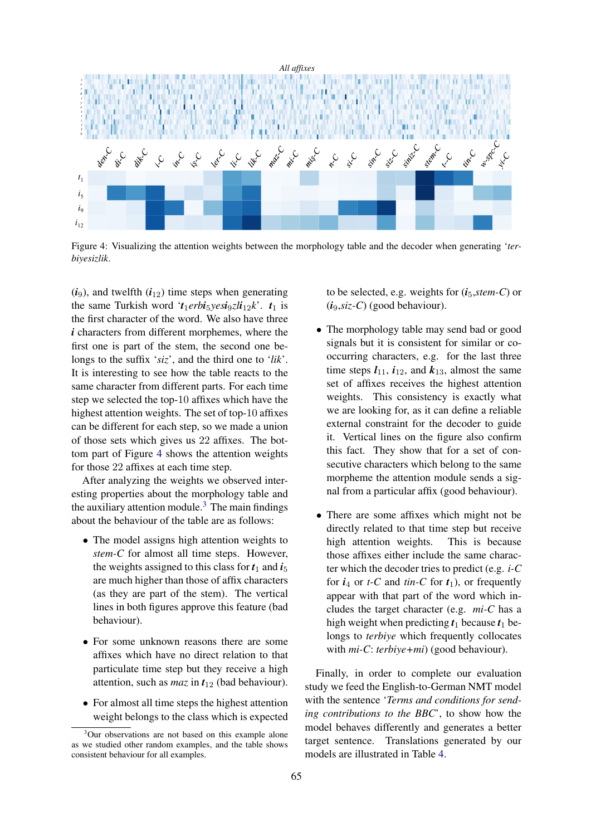

Figure 4: Visualizing the attention weights between the morphology table and the decoder when generating '*terbiyesizlik*.

 $(i_9)$ , and twelfth  $(i_{12})$  time steps when generating the same Turkish word ' $t_1$ erb**i**<sub>5</sub>*yes***i**<sub>9</sub>*z***li**<sub>12</sub>**k**'.  $t_1$  is the first character of the word. We also have three *i* characters from different morphemes, where the first one is part of the stem, the second one belongs to the suffix '*siz*', and the third one to '*lik*'. It is interesting to see how the table reacts to the same character from different parts. For each time step we selected the top-10 affixes which have the highest attention weights. The set of top-10 affixes can be different for each step, so we made a union of those sets which gives us 22 affixes. The bottom part of Figure 4 shows the attention weights for those 22 affixes at each time step.

After analyzing the weights we observed interesting properties about the morphology table and the auxiliary attention module.<sup>3</sup> The main findings about the behaviour of the table are as follows:

- The model assigns high attention weights to *stem-C* for almost all time steps. However, the weights assigned to this class for  $t_1$  and  $t_5$ are much higher than those of affix characters (as they are part of the stem). The vertical lines in both figures approve this feature (bad behaviour).
- For some unknown reasons there are some affixes which have no direct relation to that particulate time step but they receive a high attention, such as *maz* in  $t_{12}$  (bad behaviour).
- For almost all time steps the highest attention weight belongs to the class which is expected

to be selected, e.g. weights for  $(i_5, stem-C)$  or (*i*9,*siz-C*) (good behaviour).

- The morphology table may send bad or good signals but it is consistent for similar or cooccurring characters, e.g. for the last three time steps  $l_{11}$ ,  $i_{12}$ , and  $k_{13}$ , almost the same set of affixes receives the highest attention weights. This consistency is exactly what we are looking for, as it can define a reliable external constraint for the decoder to guide it. Vertical lines on the figure also confirm this fact. They show that for a set of consecutive characters which belong to the same morpheme the attention module sends a signal from a particular affix (good behaviour).
- There are some affixes which might not be directly related to that time step but receive high attention weights. This is because those affixes either include the same character which the decoder tries to predict (e.g. *i-C* for  $i_4$  or *t*-*C* and *tin*-*C* for  $t_1$ ), or frequently appear with that part of the word which includes the target character (e.g. *mi-C* has a high weight when predicting  $t_1$  because  $t_1$  belongs to *terbiye* which frequently collocates with *mi-C*: *terbiye+mi*) (good behaviour).

Finally, in order to complete our evaluation study we feed the English-to-German NMT model with the sentence '*Terms and conditions for sending contributions to the BBC*', to show how the model behaves differently and generates a better target sentence. Translations generated by our models are illustrated in Table 4.

<sup>3</sup>Our observations are not based on this example alone as we studied other random examples, and the table shows consistent behaviour for all examples.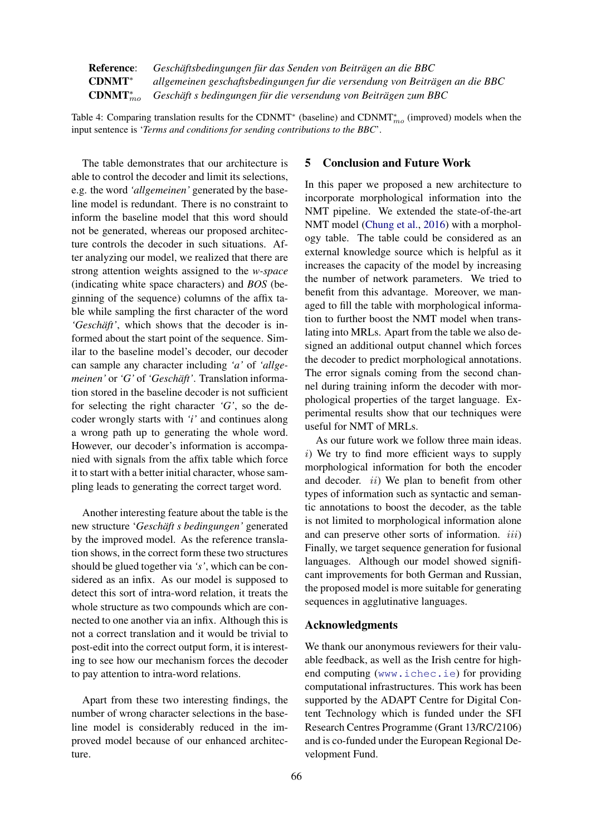Reference: *Geschäftsbedingungen für das Senden von Beiträgen an die BBC* CDNMT∗ *allgemeinen geschaftsbedingungen fur die versendung von Beiträgen an die BBC*  $CDNMT_{mo}^*$ mo *Geschäft s bedingungen für die versendung von Beiträgen zum BBC*

Table 4: Comparing translation results for the CDNMT<sup>\*</sup> (baseline) and CDNMT<sup>\*</sup><sub>mo</sub> (improved) models when the input sentence is '*Terms and conditions for sending contributions to the BBC*'.

The table demonstrates that our architecture is able to control the decoder and limit its selections, e.g. the word *'allgemeinen'* generated by the baseline model is redundant. There is no constraint to inform the baseline model that this word should not be generated, whereas our proposed architecture controls the decoder in such situations. After analyzing our model, we realized that there are strong attention weights assigned to the *w-space* (indicating white space characters) and *BOS* (beginning of the sequence) columns of the affix table while sampling the first character of the word *'Geschäft'*, which shows that the decoder is informed about the start point of the sequence. Similar to the baseline model's decoder, our decoder can sample any character including *'a'* of *'allgemeinen'* or *'G'* of *'Geschäft'*. Translation information stored in the baseline decoder is not sufficient for selecting the right character *'G'*, so the decoder wrongly starts with *'i'* and continues along a wrong path up to generating the whole word. However, our decoder's information is accompanied with signals from the affix table which force it to start with a better initial character, whose sampling leads to generating the correct target word.

Another interesting feature about the table is the new structure '*Geschäft s bedingungen'* generated by the improved model. As the reference translation shows, in the correct form these two structures should be glued together via *'s'*, which can be considered as an infix. As our model is supposed to detect this sort of intra-word relation, it treats the whole structure as two compounds which are connected to one another via an infix. Although this is not a correct translation and it would be trivial to post-edit into the correct output form, it is interesting to see how our mechanism forces the decoder to pay attention to intra-word relations.

Apart from these two interesting findings, the number of wrong character selections in the baseline model is considerably reduced in the improved model because of our enhanced architecture.

### 5 Conclusion and Future Work

In this paper we proposed a new architecture to incorporate morphological information into the NMT pipeline. We extended the state-of-the-art NMT model (Chung et al., 2016) with a morphology table. The table could be considered as an external knowledge source which is helpful as it increases the capacity of the model by increasing the number of network parameters. We tried to benefit from this advantage. Moreover, we managed to fill the table with morphological information to further boost the NMT model when translating into MRLs. Apart from the table we also designed an additional output channel which forces the decoder to predict morphological annotations. The error signals coming from the second channel during training inform the decoder with morphological properties of the target language. Experimental results show that our techniques were useful for NMT of MRLs.

As our future work we follow three main ideas.  $i)$  We try to find more efficient ways to supply morphological information for both the encoder and decoder.  $ii)$  We plan to benefit from other types of information such as syntactic and semantic annotations to boost the decoder, as the table is not limited to morphological information alone and can preserve other sorts of information. *iii*) Finally, we target sequence generation for fusional languages. Although our model showed significant improvements for both German and Russian, the proposed model is more suitable for generating sequences in agglutinative languages.

### Acknowledgments

We thank our anonymous reviewers for their valuable feedback, as well as the Irish centre for highend computing (www.ichec.ie) for providing computational infrastructures. This work has been supported by the ADAPT Centre for Digital Content Technology which is funded under the SFI Research Centres Programme (Grant 13/RC/2106) and is co-funded under the European Regional Development Fund.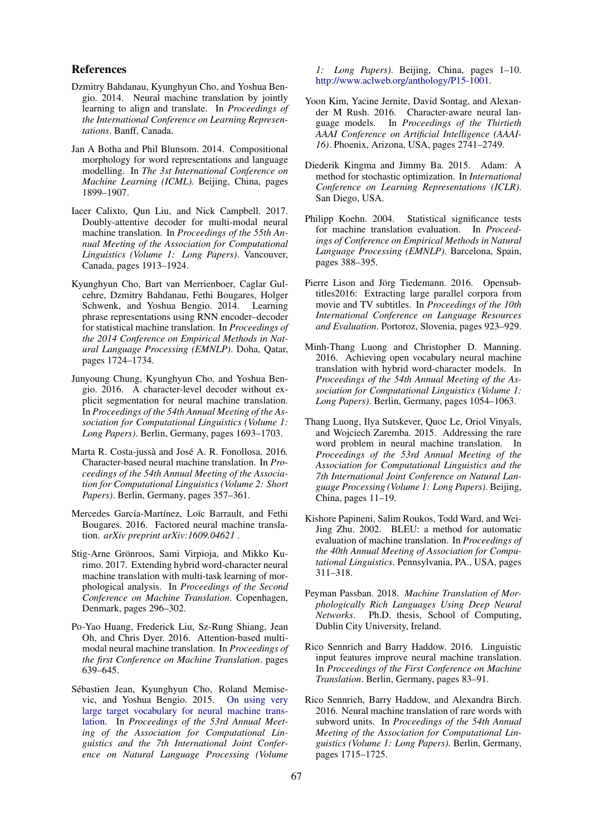### References

- Dzmitry Bahdanau, Kyunghyun Cho, and Yoshua Bengio. 2014. Neural machine translation by jointly learning to align and translate. In *Proceedings of the International Conference on Learning Representations*. Banff, Canada.
- Jan A Botha and Phil Blunsom. 2014. Compositional morphology for word representations and language modelling. In *The 3st International Conference on Machine Learning (ICML)*. Beijing, China, pages 1899–1907.
- Iacer Calixto, Qun Liu, and Nick Campbell. 2017. Doubly-attentive decoder for multi-modal neural machine translation. In *Proceedings of the 55th Annual Meeting of the Association for Computational Linguistics (Volume 1: Long Papers)*. Vancouver, Canada, pages 1913–1924.
- Kyunghyun Cho, Bart van Merrienboer, Caglar Gulcehre, Dzmitry Bahdanau, Fethi Bougares, Holger Schwenk, and Yoshua Bengio. 2014. Learning phrase representations using RNN encoder–decoder for statistical machine translation. In *Proceedings of the 2014 Conference on Empirical Methods in Natural Language Processing (EMNLP)*. Doha, Qatar, pages 1724–1734.
- Junyoung Chung, Kyunghyun Cho, and Yoshua Bengio. 2016. A character-level decoder without explicit segmentation for neural machine translation. In *Proceedings of the 54th Annual Meeting of the Association for Computational Linguistics (Volume 1: Long Papers)*. Berlin, Germany, pages 1693–1703.
- Marta R. Costa-jussà and José A. R. Fonollosa. 2016. Character-based neural machine translation. In *Proceedings of the 54th Annual Meeting of the Association for Computational Linguistics (Volume 2: Short Papers)*. Berlin, Germany, pages 357–361.
- Mercedes García-Martínez, Loïc Barrault, and Fethi Bougares. 2016. Factored neural machine translation. *arXiv preprint arXiv:1609.04621* .
- Stig-Arne Grönroos, Sami Virpioja, and Mikko Kurimo. 2017. Extending hybrid word-character neural machine translation with multi-task learning of morphological analysis. In *Proceedings of the Second Conference on Machine Translation*. Copenhagen, Denmark, pages 296–302.
- Po-Yao Huang, Frederick Liu, Sz-Rung Shiang, Jean Oh, and Chris Dyer. 2016. Attention-based multimodal neural machine translation. In *Proceedings of the first Conference on Machine Translation*. pages 639–645.
- Sébastien Jean, Kyunghyun Cho, Roland Memisevic, and Yoshua Bengio. 2015. On using very large target vocabulary for neural machine translation. In *Proceedings of the 53rd Annual Meeting of the Association for Computational Linguistics and the 7th International Joint Conference on Natural Language Processing (Volume*

*1: Long Papers)*. Beijing, China, pages 1–10. http://www.aclweb.org/anthology/P15-1001.

- Yoon Kim, Yacine Jernite, David Sontag, and Alexander M Rush. 2016. Character-aware neural language models. In *Proceedings of the Thirtieth AAAI Conference on Artificial Intelligence (AAAI-16)*. Phoenix, Arizona, USA, pages 2741–2749.
- Diederik Kingma and Jimmy Ba. 2015. Adam: A method for stochastic optimization. In *International Conference on Learning Representations (ICLR)*. San Diego, USA.
- Philipp Koehn. 2004. Statistical significance tests for machine translation evaluation. In *Proceedings of Conference on Empirical Methods in Natural Language Processing (EMNLP)*. Barcelona, Spain, pages 388–395.
- Pierre Lison and Jörg Tiedemann. 2016. Opensubtitles2016: Extracting large parallel corpora from movie and TV subtitles. In *Proceedings of the 10th International Conference on Language Resources and Evaluation*. Portoroz, Slovenia, pages 923–929.
- Minh-Thang Luong and Christopher D. Manning. 2016. Achieving open vocabulary neural machine translation with hybrid word-character models. In *Proceedings of the 54th Annual Meeting of the Association for Computational Linguistics (Volume 1: Long Papers)*. Berlin, Germany, pages 1054–1063.
- Thang Luong, Ilya Sutskever, Quoc Le, Oriol Vinyals, and Wojciech Zaremba. 2015. Addressing the rare word problem in neural machine translation. In *Proceedings of the 53rd Annual Meeting of the Association for Computational Linguistics and the 7th International Joint Conference on Natural Language Processing (Volume 1: Long Papers)*. Beijing, China, pages 11–19.
- Kishore Papineni, Salim Roukos, Todd Ward, and Wei-Jing Zhu. 2002. BLEU: a method for automatic evaluation of machine translation. In *Proceedings of the 40th Annual Meeting of Association for Computational Linguistics*. Pennsylvania, PA., USA, pages 311–318.
- Peyman Passban. 2018. *Machine Translation of Morphologically Rich Languages Using Deep Neural Networks*. Ph.D. thesis, School of Computing, Dublin City University, Ireland.
- Rico Sennrich and Barry Haddow. 2016. Linguistic input features improve neural machine translation. In *Proceedings of the First Conference on Machine Translation*. Berlin, Germany, pages 83–91.
- Rico Sennrich, Barry Haddow, and Alexandra Birch. 2016. Neural machine translation of rare words with subword units. In *Proceedings of the 54th Annual Meeting of the Association for Computational Linguistics (Volume 1: Long Papers)*. Berlin, Germany, pages 1715–1725.